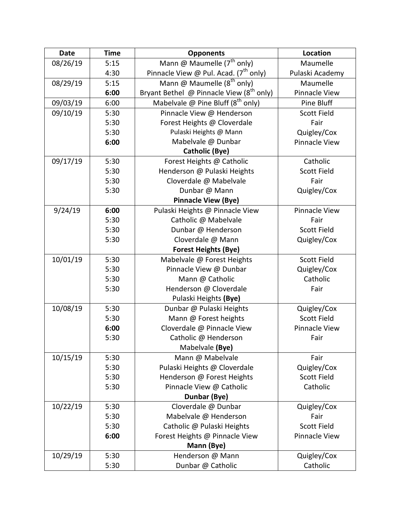| <b>Date</b> | <b>Time</b> | <b>Opponents</b>                              | Location             |
|-------------|-------------|-----------------------------------------------|----------------------|
| 08/26/19    | 5:15        | Mann @ Maumelle $(7^{\text{th}}$ only)        | Maumelle             |
|             | 4:30        | Pinnacle View @ Pul. Acad. $(7^{th}$ only)    | Pulaski Academy      |
| 08/29/19    | 5:15        | Mann @ Maumelle (8 <sup>th</sup> only)        | Maumelle             |
|             | 6:00        | Bryant Bethel @ Pinnacle View $(8^{th}$ only) | Pinnacle View        |
| 09/03/19    | 6:00        | Mabelvale @ Pine Bluff $(8^{th}$ only)        | Pine Bluff           |
| 09/10/19    | 5:30        | Pinnacle View @ Henderson                     | <b>Scott Field</b>   |
|             | 5:30        | Forest Heights @ Cloverdale                   | Fair                 |
|             | 5:30        | Pulaski Heights @ Mann                        | Quigley/Cox          |
|             | 6:00        | Mabelvale @ Dunbar                            | <b>Pinnacle View</b> |
|             |             | <b>Catholic (Bye)</b>                         |                      |
| 09/17/19    | 5:30        | Forest Heights @ Catholic                     | Catholic             |
|             | 5:30        | Henderson @ Pulaski Heights                   | <b>Scott Field</b>   |
|             | 5:30        | Cloverdale @ Mabelvale                        | Fair                 |
|             | 5:30        | Dunbar @ Mann                                 | Quigley/Cox          |
|             |             | <b>Pinnacle View (Bye)</b>                    |                      |
| 9/24/19     | 6:00        | Pulaski Heights @ Pinnacle View               | <b>Pinnacle View</b> |
|             | 5:30        | Catholic @ Mabelvale                          | Fair                 |
|             | 5:30        | Dunbar @ Henderson                            | <b>Scott Field</b>   |
|             | 5:30        | Cloverdale @ Mann                             | Quigley/Cox          |
|             |             | <b>Forest Heights (Bye)</b>                   |                      |
| 10/01/19    | 5:30        | Mabelvale @ Forest Heights                    | <b>Scott Field</b>   |
|             | 5:30        | Pinnacle View @ Dunbar                        | Quigley/Cox          |
|             | 5:30        | Mann @ Catholic                               | Catholic             |
|             | 5:30        | Henderson @ Cloverdale                        | Fair                 |
|             |             | Pulaski Heights (Bye)                         |                      |
| 10/08/19    | 5:30        | Dunbar @ Pulaski Heights                      | Quigley/Cox          |
|             | 5:30        | Mann @ Forest heights                         | <b>Scott Field</b>   |
|             | 6:00        | Cloverdale @ Pinnacle View                    | Pinnacle View        |
|             | 5:30        | Catholic @ Henderson                          | Fair                 |
|             |             | Mabelvale (Bye)                               |                      |
| 10/15/19    | 5:30        | Mann @ Mabelvale                              | Fair                 |
|             | 5:30        | Pulaski Heights @ Cloverdale                  | Quigley/Cox          |
|             | 5:30        | Henderson @ Forest Heights                    | <b>Scott Field</b>   |
|             | 5:30        | Pinnacle View @ Catholic                      | Catholic             |
|             |             | Dunbar (Bye)                                  |                      |
| 10/22/19    | 5:30        | Cloverdale @ Dunbar                           | Quigley/Cox          |
|             | 5:30        | Mabelvale @ Henderson                         | Fair                 |
|             | 5:30        | Catholic @ Pulaski Heights                    | <b>Scott Field</b>   |
|             | 6:00        | Forest Heights @ Pinnacle View                | Pinnacle View        |
|             |             | Mann (Bye)                                    |                      |
| 10/29/19    | 5:30        | Henderson @ Mann                              | Quigley/Cox          |
|             | 5:30        | Dunbar @ Catholic                             | Catholic             |